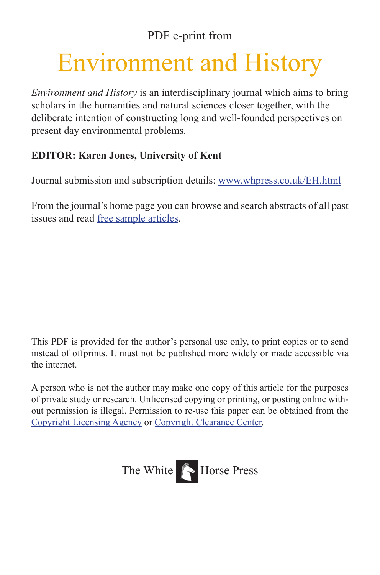PDF e-print from

# Environment and History

*Environment and History* is an interdisciplinary journal which aims to bring scholars in the humanities and natural sciences closer together, with the deliberate intention of constructing long and well-founded perspectives on present day environmental problems.

# **EDITOR: Karen Jones, University of Kent**

Journal submission and subscription details: [www.whpress.co.uk/EH.html](http://www.whpress.co.uk/EH.html)

From the journal's home page you can browse and search abstracts of all past issues and read [free sample articles.](http://www.whpress.co.uk/EH/EHfree.html)

This PDF is provided for the author's personal use only, to print copies or to send instead of offprints. It must not be published more widely or made accessible via the internet.

A person who is not the author may make one copy of this article for the purposes of private study or research. Unlicensed copying or printing, or posting online without permission is illegal. Permission to re-use this paper can be obtained from the [Copyright Licensing Agency](http://www.cla.co.uk/) or [Copyright Clearance Cente](http://www.copyright.com/search.do?operation=detail&item=122962365&detailType=basic )r.

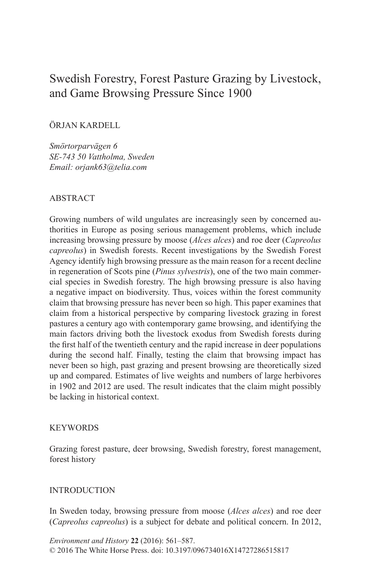# Swedish Forestry, Forest Pasture Grazing by Livestock, and Game Browsing Pressure Since 1900

# ÖRJAN KARDELL

*Smörtorparvägen 6 SE-743 50 Vattholma, Sweden Email: orjank63@telia.com*

# ABSTRACT

Growing numbers of wild ungulates are increasingly seen by concerned authorities in Europe as posing serious management problems, which include increasing browsing pressure by moose (*Alces alces*) and roe deer (*Capreolus capreolus*) in Swedish forests. Recent investigations by the Swedish Forest Agency identify high browsing pressure as the main reason for a recent decline in regeneration of Scots pine (*Pinus sylvestris*), one of the two main commercial species in Swedish forestry. The high browsing pressure is also having a negative impact on biodiversity. Thus, voices within the forest community claim that browsing pressure has never been so high. This paper examines that claim from a historical perspective by comparing livestock grazing in forest pastures a century ago with contemporary game browsing, and identifying the main factors driving both the livestock exodus from Swedish forests during the first half of the twentieth century and the rapid increase in deer populations during the second half. Finally, testing the claim that browsing impact has never been so high, past grazing and present browsing are theoretically sized up and compared. Estimates of live weights and numbers of large herbivores in 1902 and 2012 are used. The result indicates that the claim might possibly be lacking in historical context.

# **KEYWORDS**

Grazing forest pasture, deer browsing, Swedish forestry, forest management, forest history

# INTRODUCTION

In Sweden today, browsing pressure from moose (*Alces alces*) and roe deer (*Capreolus capreolus*) is a subject for debate and political concern. In 2012,

*Environment and History* **22** (2016): 561–587. © 2016 The White Horse Press. doi: 10.3197/096734016X14727286515817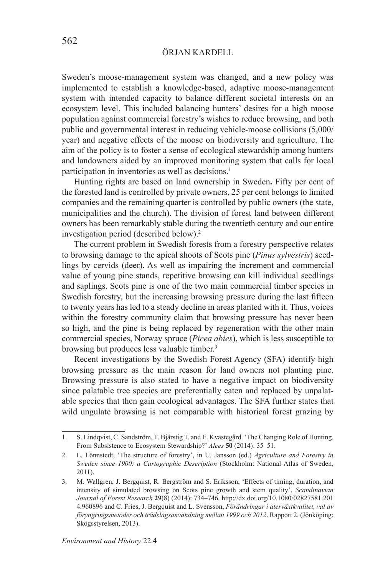Sweden's moose-management system was changed, and a new policy was implemented to establish a knowledge-based, adaptive moose-management system with intended capacity to balance different societal interests on an ecosystem level. This included balancing hunters' desires for a high moose population against commercial forestry's wishes to reduce browsing, and both public and governmental interest in reducing vehicle-moose collisions (5,000/ year) and negative effects of the moose on biodiversity and agriculture. The aim of the policy is to foster a sense of ecological stewardship among hunters and landowners aided by an improved monitoring system that calls for local participation in inventories as well as decisions.<sup>1</sup>

Hunting rights are based on land ownership in Sweden**.** Fifty per cent of the forested land is controlled by private owners, 25 per cent belongs to limited companies and the remaining quarter is controlled by public owners (the state, municipalities and the church). The division of forest land between different owners has been remarkably stable during the twentieth century and our entire investigation period (described below).2

The current problem in Swedish forests from a forestry perspective relates to browsing damage to the apical shoots of Scots pine (*Pinus sylvestris*) seedlings by cervids (deer). As well as impairing the increment and commercial value of young pine stands, repetitive browsing can kill individual seedlings and saplings. Scots pine is one of the two main commercial timber species in Swedish forestry, but the increasing browsing pressure during the last fifteen to twenty years has led to a steady decline in areas planted with it. Thus, voices within the forestry community claim that browsing pressure has never been so high, and the pine is being replaced by regeneration with the other main commercial species, Norway spruce (*Picea abies*), which is less susceptible to browsing but produces less valuable timber.<sup>3</sup>

Recent investigations by the Swedish Forest Agency (SFA) identify high browsing pressure as the main reason for land owners not planting pine. Browsing pressure is also stated to have a negative impact on biodiversity since palatable tree species are preferentially eaten and replaced by unpalatable species that then gain ecological advantages. The SFA further states that wild ungulate browsing is not comparable with historical forest grazing by

<sup>1.</sup> S. Lindqvist, C. Sandström, T. Bjärstig T. and E. Kvastegård. 'The Changing Role of Hunting. From Subsistence to Ecosystem Stewardship?' *Alces* **50** (2014): 35–51.

<sup>2.</sup> L. Lönnstedt, 'The structure of forestry', in U. Jansson (ed.) *Agriculture and Forestry in Sweden since 1900: a Cartographic Description* (Stockholm: National Atlas of Sweden, 2011).

<sup>3.</sup> M. Wallgren, J. Bergquist, R. Bergström and S. Eriksson, 'Effects of timing, duration, and intensity of simulated browsing on Scots pine growth and stem quality', *Scandinavian Journal of Forest Research* **29**(8) (2014): 734–746. [http://dx.doi.org/10.1080/02827581.201](http://dx.doi.org/10.1080/02827581.2014.960896) [4.960896](http://dx.doi.org/10.1080/02827581.2014.960896) and C. Fries, J. Bergquist and L. Svensson, *Förändringar i återväxtkvalitet, val av föryngringsmetoder och trädslagsanvändning mellan 1999 och 2012*. Rapport 2. (Jönköping: Skogsstyrelsen, 2013).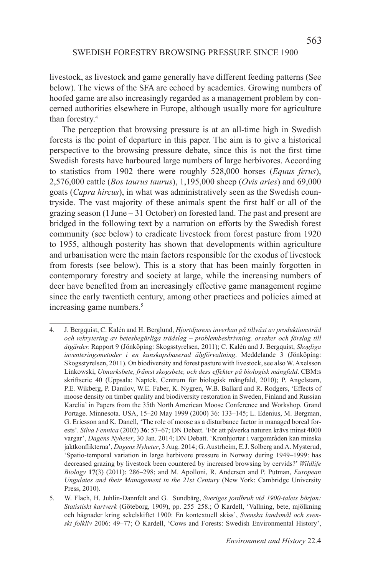livestock, as livestock and game generally have different feeding patterns (See below). The views of the SFA are echoed by academics. Growing numbers of hoofed game are also increasingly regarded as a management problem by concerned authorities elsewhere in Europe, although usually more for agriculture than forestry.4

The perception that browsing pressure is at an all-time high in Swedish forests is the point of departure in this paper. The aim is to give a historical perspective to the browsing pressure debate, since this is not the first time Swedish forests have harboured large numbers of large herbivores. According to statistics from 1902 there were roughly 528,000 horses (*Equus ferus*), 2,576,000 cattle (*Bos taurus taurus*), 1,195,000 sheep (*Ovis aries*) and 69,000 goats (*Capra hircus*), in what was administratively seen as the Swedish countryside. The vast majority of these animals spent the first half or all of the grazing season (1June – 31 October) on forested land. The past and present are bridged in the following text by a narration on efforts by the Swedish forest community (see below) to eradicate livestock from forest pasture from 1920 to 1955, although posterity has shown that developments within agriculture and urbanisation were the main factors responsible for the exodus of livestock from forests (see below). This is a story that has been mainly forgotten in contemporary forestry and society at large, while the increasing numbers of deer have benefited from an increasingly effective game management regime since the early twentieth century, among other practices and policies aimed at increasing game numbers.<sup>5</sup>

<sup>4.</sup> J. Bergquist, C. Kalén and H. Berglund, *Hjortdjurens inverkan på tillväxt av produktionsträd och rekrytering av betesbegärliga trädslag – problembeskrivning, orsaker och förslag till åtgärder.* Rapport 9 (Jönköping: Skogsstyrelsen, 2011); C. Kalén and J. Bergquist, *Skogliga inventeringsmetoder i en kunskapsbaserad älgförvaltning*. Meddelande 3 (Jönköping: Skogsstyrelsen, 2011). On biodiversity and forest pasture with livestock, see also W. Axelsson Linkowski, *Utmarksbete, främst skogsbete, och dess effekter på biologisk mångfald*. CBM:s skriftserie 40 (Uppsala: Naptek, Centrum för biologisk mångfald, 2010); P. Angelstam, P.E. Wikberg, P. Danilov, W.E. Faber, K. Nygren, W.B. Ballard and R. Rodgers, 'Effects of moose density on timber quality and biodiversity restoration in Sweden, Finland and Russian Karelia' in Papers from the 35th North American Moose Conference and Workshop. Grand Portage. Minnesota. USA, 15–20 May 1999 (2000) 36: 133–145; L. Edenius, M. Bergman, G. Ericsson and K. Danell, 'The role of moose as a disturbance factor in managed boreal forests'. *Silva Fennica* (2002) **36**: 57–67; DN Debatt. 'För att påverka naturen krävs minst 4000 vargar', *Dagens Nyheter*, 30 Jan. 2014; DN Debatt. 'Kronhjortar i vargområden kan minska jaktkonflikterna', *Dagens Nyheter*, 3 Aug. 2014; G. Austrheim, E.J. Solberg and A. Mysterud, 'Spatio-temporal variation in large herbivore pressure in Norway during 1949–1999: has decreased grazing by livestock been countered by increased browsing by cervids?' *Wildlife Biology* **17**(3) (2011): 286–298; and M. Apolloni, R. Andersen and P. Putman, *European Ungulates and their Management in the 21st Century* (New York: Cambridge University Press, 2010).

<sup>5.</sup> W. Flach, H. Juhlin-Dannfelt and G. Sundbärg, *Sveriges jordbruk vid 1900-talets början: Statistiskt kartverk* (Göteborg, 1909), pp. 255–258.; Ö Kardell, 'Vallning, bete, mjölkning och hägnader kring sekelskiftet 1900: En kontextuell skiss', *Svenska landsmål och svenskt folkliv* 2006: 49–77; Ö Kardell, 'Cows and Forests: Swedish Environmental History',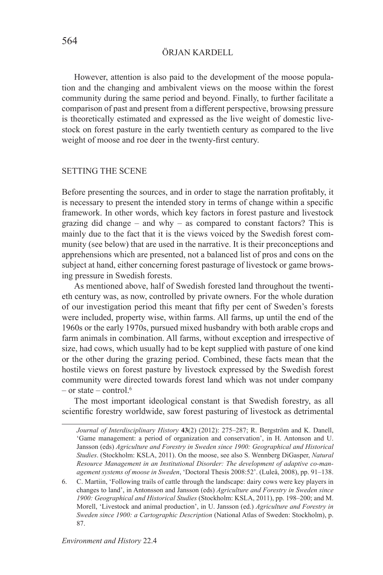However, attention is also paid to the development of the moose population and the changing and ambivalent views on the moose within the forest community during the same period and beyond. Finally, to further facilitate a comparison of past and present from a different perspective, browsing pressure is theoretically estimated and expressed as the live weight of domestic livestock on forest pasture in the early twentieth century as compared to the live weight of moose and roe deer in the twenty-first century.

# SETTING THE SCENE

Before presenting the sources, and in order to stage the narration profitably, it is necessary to present the intended story in terms of change within a specific framework. In other words, which key factors in forest pasture and livestock grazing did change – and why – as compared to constant factors? This is mainly due to the fact that it is the views voiced by the Swedish forest community (see below) that are used in the narrative. It is their preconceptions and apprehensions which are presented, not a balanced list of pros and cons on the subject at hand, either concerning forest pasturage of livestock or game browsing pressure in Swedish forests.

As mentioned above, half of Swedish forested land throughout the twentieth century was, as now, controlled by private owners. For the whole duration of our investigation period this meant that fifty per cent of Sweden's forests were included, property wise, within farms. All farms, up until the end of the 1960s or the early 1970s, pursued mixed husbandry with both arable crops and farm animals in combination. All farms, without exception and irrespective of size, had cows, which usually had to be kept supplied with pasture of one kind or the other during the grazing period. Combined, these facts mean that the hostile views on forest pasture by livestock expressed by the Swedish forest community were directed towards forest land which was not under company – or state – control. $6$ 

The most important ideological constant is that Swedish forestry, as all scientific forestry worldwide, saw forest pasturing of livestock as detrimental

*Journal of Interdisciplinary History* **43**(2) (2012): 275–287; R. Bergström and K. Danell, 'Game management: a period of organization and conservation', in H. Antonson and U. Jansson (eds) *Agriculture and Forestry in Sweden since 1900: Geographical and Historical Studies*. (Stockholm: KSLA, 2011). On the moose, see also S. Wennberg DiGasper, *Natural Resource Management in an Institutional Disorder: The development of adaptive co-management systems of moose in Sweden*, 'Doctoral Thesis 2008:52'. (Luleå, 2008), pp. 91–138.

<sup>6.</sup> C. Martiin, 'Following trails of cattle through the landscape: dairy cows were key players in changes to land', in Antonsson and Jansson (eds) *Agriculture and Forestry in Sweden since 1900: Geographical and Historical Studies* (Stockholm: KSLA, 2011), pp. 198–200; and M. Morell, 'Livestock and animal production', in U. Jansson (ed.) *Agriculture and Forestry in Sweden since 1900: a Cartographic Description* (National Atlas of Sweden: Stockholm), p. 87.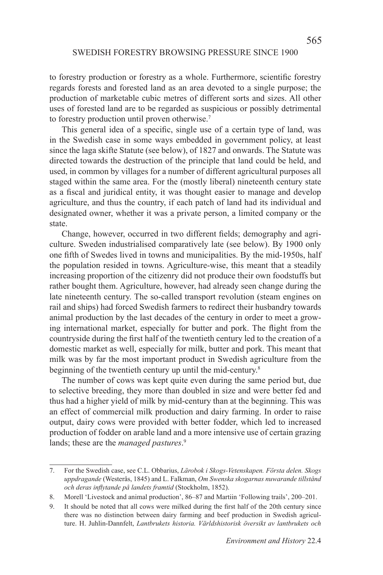to forestry production or forestry as a whole. Furthermore, scientific forestry regards forests and forested land as an area devoted to a single purpose; the production of marketable cubic metres of different sorts and sizes. All other uses of forested land are to be regarded as suspicious or possibly detrimental to forestry production until proven otherwise.7

This general idea of a specific, single use of a certain type of land, was in the Swedish case in some ways embedded in government policy, at least since the laga skifte Statute (see below), of 1827 and onwards. The Statute was directed towards the destruction of the principle that land could be held, and used, in common by villages for a number of different agricultural purposes all staged within the same area. For the (mostly liberal) nineteenth century state as a fiscal and juridical entity, it was thought easier to manage and develop agriculture, and thus the country, if each patch of land had its individual and designated owner, whether it was a private person, a limited company or the state.

Change, however, occurred in two different fields; demography and agriculture. Sweden industrialised comparatively late (see below). By 1900 only one fifth of Swedes lived in towns and municipalities. By the mid-1950s, half the population resided in towns. Agriculture-wise, this meant that a steadily increasing proportion of the citizenry did not produce their own foodstuffs but rather bought them. Agriculture, however, had already seen change during the late nineteenth century. The so-called transport revolution (steam engines on rail and ships) had forced Swedish farmers to redirect their husbandry towards animal production by the last decades of the century in order to meet a growing international market, especially for butter and pork. The flight from the countryside during the first half of the twentieth century led to the creation of a domestic market as well, especially for milk, butter and pork. This meant that milk was by far the most important product in Swedish agriculture from the beginning of the twentieth century up until the mid-century.<sup>8</sup>

The number of cows was kept quite even during the same period but, due to selective breeding, they more than doubled in size and were better fed and thus had a higher yield of milk by mid-century than at the beginning. This was an effect of commercial milk production and dairy farming. In order to raise output, dairy cows were provided with better fodder, which led to increased production of fodder on arable land and a more intensive use of certain grazing lands; these are the *managed pastures*. 9

<sup>7.</sup> For the Swedish case, see C.L. Obbarius, *Lärobok i Skogs-Vetenskapen. Första delen. Skogs uppdragande* (Westerås, 1845) and L. Falkman, *Om Swenska skogarnas nuwarande tillstånd och deras inflytande på landets framtid* (Stockholm, 1852).

<sup>8.</sup> Morell 'Livestock and animal production', 86–87 and Martiin 'Following trails', 200–201.

<sup>9.</sup> It should be noted that all cows were milked during the first half of the 20th century since there was no distinction between dairy farming and beef production in Swedish agriculture. H. Juhlin-Dannfelt, *Lantbrukets historia. Världshistorisk översikt av lantbrukets och*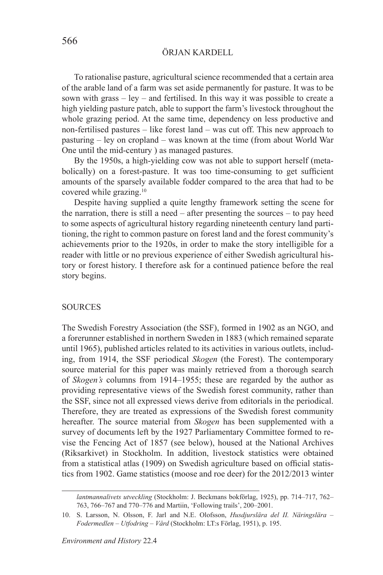To rationalise pasture, agricultural science recommended that a certain area of the arable land of a farm was set aside permanently for pasture. It was to be sown with grass – ley – and fertilised. In this way it was possible to create a high yielding pasture patch, able to support the farm's livestock throughout the whole grazing period. At the same time, dependency on less productive and non-fertilised pastures – like forest land – was cut off. This new approach to pasturing – ley on cropland – was known at the time (from about World War One until the mid-century ) as managed pastures.

By the 1950s, a high-yielding cow was not able to support herself (metabolically) on a forest-pasture. It was too time-consuming to get sufficient amounts of the sparsely available fodder compared to the area that had to be covered while grazing.10

Despite having supplied a quite lengthy framework setting the scene for the narration, there is still a need – after presenting the sources – to pay heed to some aspects of agricultural history regarding nineteenth century land partitioning, the right to common pasture on forest land and the forest community's achievements prior to the 1920s, in order to make the story intelligible for a reader with little or no previous experience of either Swedish agricultural history or forest history. I therefore ask for a continued patience before the real story begins.

#### SOURCES

The Swedish Forestry Association (the SSF), formed in 1902 as an NGO, and a forerunner established in northern Sweden in 1883 (which remained separate until 1965), published articles related to its activities in various outlets, including, from 1914, the SSF periodical *Skogen* (the Forest). The contemporary source material for this paper was mainly retrieved from a thorough search of *Skogen's* columns from 1914–1955; these are regarded by the author as providing representative views of the Swedish forest community, rather than the SSF, since not all expressed views derive from editorials in the periodical. Therefore, they are treated as expressions of the Swedish forest community hereafter. The source material from *Skogen* has been supplemented with a survey of documents left by the 1927 Parliamentary Committee formed to revise the Fencing Act of 1857 (see below), housed at the National Archives (Riksarkivet) in Stockholm. In addition, livestock statistics were obtained from a statistical atlas (1909) on Swedish agriculture based on official statistics from 1902. Game statistics (moose and roe deer) for the 2012/2013 winter

*lantmannalivets utveckling* (Stockholm: J. Beckmans bokförlag, 1925), pp. 714–717, 762– 763, 766–767 and 770–776 and Martiin, 'Following trails', 200–2001.

<sup>10.</sup> S. Larsson, N. Olsson, F. Jarl and N.E. Olofsson, *Husdjurslära del II. Näringslära – Fodermedlen – Utfodring – Vård* (Stockholm: LT:s Förlag, 1951), p. 195.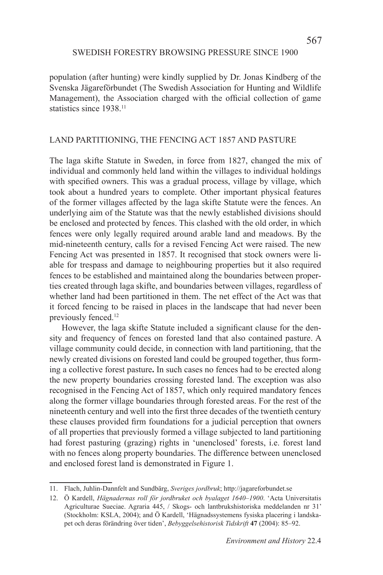population (after hunting) were kindly supplied by Dr. Jonas Kindberg of the Svenska Jägareförbundet (The Swedish Association for Hunting and Wildlife Management), the Association charged with the official collection of game statistics since 1938.11

# LAND PARTITIONING, THE FENCING ACT 1857 AND PASTURE

The laga skifte Statute in Sweden, in force from 1827, changed the mix of individual and commonly held land within the villages to individual holdings with specified owners. This was a gradual process, village by village, which took about a hundred years to complete. Other important physical features of the former villages affected by the laga skifte Statute were the fences. An underlying aim of the Statute was that the newly established divisions should be enclosed and protected by fences. This clashed with the old order, in which fences were only legally required around arable land and meadows. By the mid-nineteenth century, calls for a revised Fencing Act were raised. The new Fencing Act was presented in 1857. It recognised that stock owners were liable for trespass and damage to neighbouring properties but it also required fences to be established and maintained along the boundaries between properties created through laga skifte, and boundaries between villages, regardless of whether land had been partitioned in them. The net effect of the Act was that it forced fencing to be raised in places in the landscape that had never been previously fenced.12

However, the laga skifte Statute included a significant clause for the density and frequency of fences on forested land that also contained pasture. A village community could decide, in connection with land partitioning, that the newly created divisions on forested land could be grouped together, thus forming a collective forest pasture**.** In such cases no fences had to be erected along the new property boundaries crossing forested land. The exception was also recognised in the Fencing Act of 1857, which only required mandatory fences along the former village boundaries through forested areas. For the rest of the nineteenth century and well into the first three decades of the twentieth century these clauses provided firm foundations for a judicial perception that owners of all properties that previously formed a village subjected to land partitioning had forest pasturing (grazing) rights in 'unenclosed' forests, i.e. forest land with no fences along property boundaries. The difference between unenclosed and enclosed forest land is demonstrated in Figure 1.

<sup>11.</sup> Flach, Juhlin-Dannfelt and Sundbärg, *Sveriges jordbruk*; http://jagareforbundet.se

<sup>12.</sup> Ö Kardell, *Hägnadernas roll för jordbruket och byalaget 1640–1900*. 'Acta Universitatis Agriculturae Sueciae. Agraria 445, / Skogs- och lantbrukshistoriska meddelanden nr 31' (Stockholm: KSLA, 2004); and Ö Kardell, 'Hägnadssystemens fysiska placering i landskapet och deras förändring över tiden', *Bebyggelsehistorisk Tidskrift* **47** (2004): 85–92.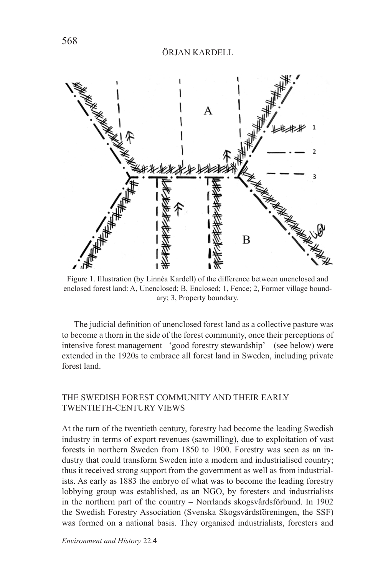

Figure 1. Illustration (by Linnéa Kardell) of the difference between unenclosed and enclosed forest land: A, Unenclosed; B, Enclosed; 1, Fence; 2, Former village boundary; 3, Property boundary.

The judicial definition of unenclosed forest land as a collective pasture was to become a thorn in the side of the forest community, once their perceptions of intensive forest management –'good forestry stewardship' – (see below) were extended in the 1920s to embrace all forest land in Sweden, including private forest land.

# THE SWEDISH FOREST COMMUNITY AND THEIR EARLY TWENTIETH-CENTURY VIEWS

At the turn of the twentieth century, forestry had become the leading Swedish industry in terms of export revenues (sawmilling), due to exploitation of vast forests in northern Sweden from 1850 to 1900. Forestry was seen as an industry that could transform Sweden into a modern and industrialised country; thus it received strong support from the government as well as from industrialists. As early as 1883 the embryo of what was to become the leading forestry lobbying group was established, as an NGO, by foresters and industrialists in the northern part of the country **–** Norrlands skogsvårdsförbund. In 1902 the Swedish Forestry Association (Svenska Skogsvårdsföreningen, the SSF) was formed on a national basis. They organised industrialists, foresters and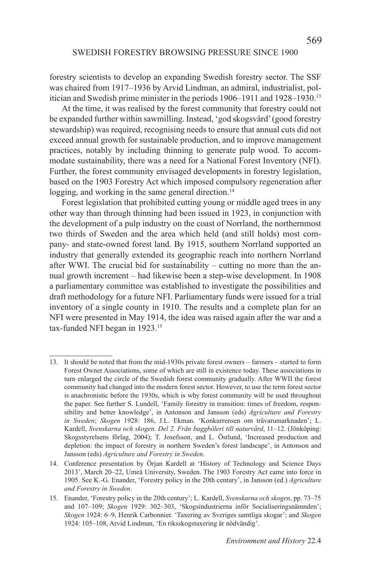forestry scientists to develop an expanding Swedish forestry sector. The SSF was chaired from 1917–1936 by Arvid Lindman, an admiral, industrialist, politician and Swedish prime minister in the periods 1906–1911 and 1928–1930.13

At the time, it was realised by the forest community that forestry could not be expanded further within sawmilling. Instead, 'god skogsvård' (good forestry stewardship) was required, recognising needs to ensure that annual cuts did not exceed annual growth for sustainable production, and to improve management practices, notably by including thinning to generate pulp wood. To accommodate sustainability, there was a need for a National Forest Inventory (NFI). Further, the forest community envisaged developments in forestry legislation, based on the 1903 Forestry Act which imposed compulsory regeneration after logging, and working in the same general direction.<sup>14</sup>

Forest legislation that prohibited cutting young or middle aged trees in any other way than through thinning had been issued in 1923, in conjunction with the development of a pulp industry on the coast of Norrland, the northernmost two thirds of Sweden and the area which held (and still holds) most company- and state-owned forest land. By 1915, southern Norrland supported an industry that generally extended its geographic reach into northern Norrland after WWI. The crucial bid for sustainability – cutting no more than the annual growth increment – had likewise been a step-wise development. In 1908 a parliamentary committee was established to investigate the possibilities and draft methodology for a future NFI. Parliamentary funds were issued for a trial inventory of a single county in 1910. The results and a complete plan for an NFI were presented in May 1914, the idea was raised again after the war and a tax-funded NFI began in 1923.15

<sup>13.</sup> It should be noted that from the mid-1930s private forest owners – farmers – started to form Forest Owner Associations, some of which are still in existence today. These associations in turn enlarged the circle of the Swedish forest community gradually. After WWII the forest community had changed into the modern forest sector. However, to use the term forest sector is anachronistic before the 1930s, which is why forest community will be used throughout the paper. See further S. Lundell, 'Family forestry in transition: times of freedom, responsibility and better knowledge', in Antonson and Jansson (eds) *Agriculture and Forestry in Sweden*; *Skogen* 1928: 186, J.L. Ekman. 'Konkurrensen om trävarumarknaden'; L. Kardell, *Svenskarna och skogen. Del 2. Från baggböleri till naturvård*, 11–12. (Jönköping: Skogsstyrelsens förlag, 2004); T. Josefsson, and L. Östlund, 'Increased production and depletion: the impact of forestry in northern Sweden's forest landscape', in Antonson and Jansson (eds) *Agriculture and Forestry in Sweden*.

<sup>14.</sup> Conference presentation by Örjan Kardell at 'History of Technology and Science Days 2013', March 20–22, Umeå University, Sweden. The 1903 Forestry Act came into force in 1905. See K.-G. Enander, 'Forestry policy in the 20th century', in Jansson (ed.) *Agriculture and Forestry in Sweden*.

<sup>15.</sup> Enander, 'Forestry policy in the 20th century'; L. Kardell, *Svenskarna och skogen*, pp. 73–75 and 107–109; *Skogen* 1929: 302–303, 'Skogsindustrierna inför Socialiseringsnämnden'; *Skogen* 1924: 6–9, Henrik Carbonnier. 'Taxering av Sveriges samtliga skogar'; and *Skogen* 1924: 105–108, Arvid Lindman, 'En riksskogstaxering är nödvändig'.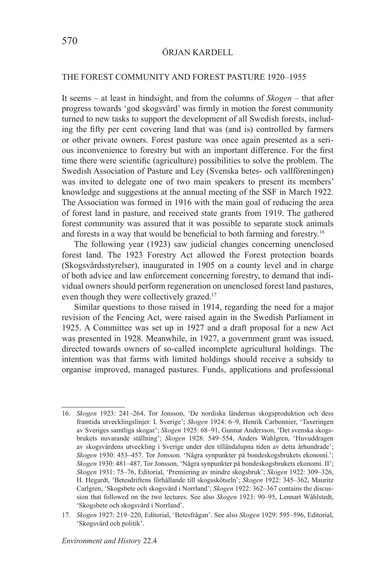#### THE FOREST COMMUNITY AND FOREST PASTURE 1920–1955

It seems – at least in hindsight, and from the columns of *Skogen* – that after progress towards 'god skogsvård' was firmly in motion the forest community turned to new tasks to support the development of all Swedish forests, including the fifty per cent covering land that was (and is) controlled by farmers or other private owners. Forest pasture was once again presented as a serious inconvenience to forestry but with an important difference. For the first time there were scientific (agriculture) possibilities to solve the problem. The Swedish Association of Pasture and Ley (Svenska betes- och vallföreningen) was invited to delegate one of two main speakers to present its members' knowledge and suggestions at the annual meeting of the SSF in March 1922. The Association was formed in 1916 with the main goal of reducing the area of forest land in pasture, and received state grants from 1919. The gathered forest community was assured that it was possible to separate stock animals and forests in a way that would be beneficial to both farming and forestry. 16

The following year (1923) saw judicial changes concerning unenclosed forest land. The 1923 Forestry Act allowed the Forest protection boards (Skogsvårdsstyrelser), inaugurated in 1905 on a county level and in charge of both advice and law enforcement concerning forestry, to demand that individual owners should perform regeneration on unenclosed forest land pastures, even though they were collectively grazed.17

Similar questions to those raised in 1914, regarding the need for a major revision of the Fencing Act, were raised again in the Swedish Parliament in 1925. A Committee was set up in 1927 and a draft proposal for a new Act was presented in 1928. Meanwhile, in 1927, a government grant was issued, directed towards owners of so-called incomplete agricultural holdings. The intention was that farms with limited holdings should receive a subsidy to organise improved, managed pastures. Funds, applications and professional

<sup>16.</sup> *Skogen* 1923: 241–264, Tor Jonsson, 'De nordiska ländernas skogsproduktion och dess framtida utvecklingslinjer. I. Sverige'; *Skogen* 1924: 6–9, Henrik Carbonnier, 'Taxeringen av Sveriges samtliga skogar'; *Skogen* 1925: 68–91, Gunnar Andersson, 'Det svenska skogsbrukets nuvarande ställning'; *Skogen* 1928: 549–554, Anders Wahlgren, 'Huvuddragen av skogsvårdens utveckling i Sverige under den tilländalupna tiden av detta århundrade'; *Skogen* 1930: 453–457. Tor Jonsson. 'Några synpunkter på bondeskogsbrukets ekonomi.'; *Skogen* 1930: 481–487, Tor Jonsson, 'Några synpunkter på bondeskogsbrukets ekonomi. II'; *Skogen* 1931: 75–76, Editorial, 'Premiering av mindre skogsbruk'; *Skogen* 1922: 309–326, H. Hegardt, 'Betesdriftens förhållande till skogsskötseln'; *Skogen* 1922: 345–362, Mauritz Carlgren, 'Skogsbete och skogsvård i Norrland'; *Skogen* 1922: 362–367 contains the discussion that followed on the two lectures. See also *Skogen* 1923: 90–95, Lennart Wåhlstedt, 'Skogsbete och skogsvård i Norrland'.

<sup>17.</sup> *Skogen* 1927: 219–220, Editorial, 'Betesfrågan'. See also *Skogen* 1929: 595–596, Editorial, 'Skogsvård och politik'.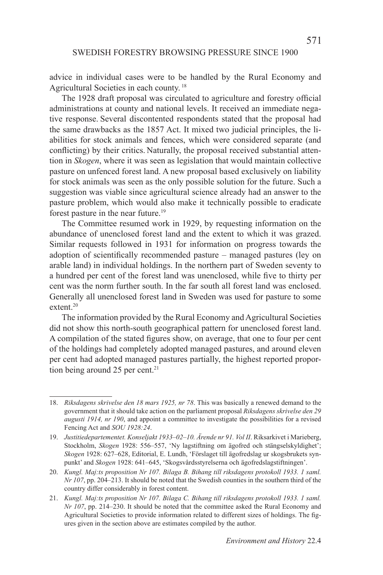advice in individual cases were to be handled by the Rural Economy and Agricultural Societies in each county. <sup>18</sup>

The 1928 draft proposal was circulated to agriculture and forestry official administrations at county and national levels. It received an immediate negative response. Several discontented respondents stated that the proposal had the same drawbacks as the 1857 Act. It mixed two judicial principles, the liabilities for stock animals and fences, which were considered separate (and conflicting) by their critics. Naturally, the proposal received substantial attention in *Skogen*, where it was seen as legislation that would maintain collective pasture on unfenced forest land. A new proposal based exclusively on liability for stock animals was seen as the only possible solution for the future. Such a suggestion was viable since agricultural science already had an answer to the pasture problem, which would also make it technically possible to eradicate forest pasture in the near future.<sup>19</sup>

The Committee resumed work in 1929, by requesting information on the abundance of unenclosed forest land and the extent to which it was grazed. Similar requests followed in 1931 for information on progress towards the adoption of scientifically recommended pasture – managed pastures (ley on arable land) in individual holdings. In the northern part of Sweden seventy to a hundred per cent of the forest land was unenclosed, while five to thirty per cent was the norm further south. In the far south all forest land was enclosed. Generally all unenclosed forest land in Sweden was used for pasture to some extent.20

The information provided by the Rural Economy and Agricultural Societies did not show this north-south geographical pattern for unenclosed forest land. A compilation of the stated figures show, on average, that one to four per cent of the holdings had completely adopted managed pastures, and around eleven per cent had adopted managed pastures partially, the highest reported proportion being around 25 per cent.<sup>21</sup>

<sup>18.</sup> *Riksdagens skrivelse den 18 mars 1925, nr 78*. This was basically a renewed demand to the government that it should take action on the parliament proposal *Riksdagens skrivelse den 29 augusti 1914, nr 190*, and appoint a committee to investigate the possibilities for a revised Fencing Act and *SOU 1928:24*.

<sup>19.</sup> *Justitiedepartementet. Konseljakt 1933–02–10. Ärende nr 91. Vol II*. Riksarkivet i Marieberg, Stockholm, *Skogen* 1928: 556–557, 'Ny lagstiftning om ägofred och stängselskyldighet'; *Skogen* 1928: 627–628, Editorial, E. Lundh, 'Förslaget till ägofredslag ur skogsbrukets synpunkt' and *Skogen* 1928: 641–645, 'Skogsvårdsstyrelserna och ägofredslagstiftningen'.

<sup>20.</sup> *Kungl. Maj:ts proposition Nr 107. Bilaga B. Bihang till riksdagens protokoll 1933. 1 saml. Nr 107*, pp. 204–213. It should be noted that the Swedish counties in the southern third of the country differ considerably in forest content.

<sup>21.</sup> *Kungl. Maj:ts proposition Nr 107. Bilaga C. Bihang till riksdagens protokoll 1933. 1 saml. Nr 107*, pp. 214–230. It should be noted that the committee asked the Rural Economy and Agricultural Societies to provide information related to different sizes of holdings. The figures given in the section above are estimates compiled by the author.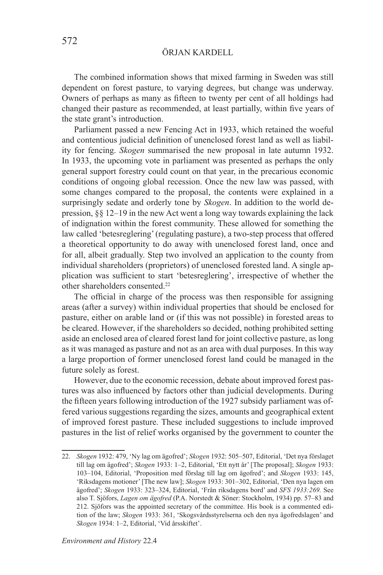The combined information shows that mixed farming in Sweden was still dependent on forest pasture, to varying degrees, but change was underway. Owners of perhaps as many as fifteen to twenty per cent of all holdings had changed their pasture as recommended, at least partially, within five years of the state grant's introduction.

Parliament passed a new Fencing Act in 1933, which retained the woeful and contentious judicial definition of unenclosed forest land as well as liability for fencing. *Skogen* summarised the new proposal in late autumn 1932. In 1933, the upcoming vote in parliament was presented as perhaps the only general support forestry could count on that year, in the precarious economic conditions of ongoing global recession. Once the new law was passed, with some changes compared to the proposal, the contents were explained in a surprisingly sedate and orderly tone by *Skogen*. In addition to the world depression, §§ 12–19 in the new Act went a long way towards explaining the lack of indignation within the forest community. These allowed for something the law called 'betesreglering' (regulating pasture), a two-step process that offered a theoretical opportunity to do away with unenclosed forest land, once and for all, albeit gradually. Step two involved an application to the county from individual shareholders (proprietors) of unenclosed forested land. A single application was sufficient to start 'betesreglering', irrespective of whether the other shareholders consented.22

The official in charge of the process was then responsible for assigning areas (after a survey) within individual properties that should be enclosed for pasture, either on arable land or (if this was not possible) in forested areas to be cleared. However, if the shareholders so decided, nothing prohibited setting aside an enclosed area of cleared forest land for joint collective pasture, as long as it was managed as pasture and not as an area with dual purposes. In this way a large proportion of former unenclosed forest land could be managed in the future solely as forest.

However, due to the economic recession, debate about improved forest pastures was also influenced by factors other than judicial developments. During the fifteen years following introduction of the 1927 subsidy parliament was offered various suggestions regarding the sizes, amounts and geographical extent of improved forest pasture. These included suggestions to include improved pastures in the list of relief works organised by the government to counter the

<sup>22.</sup> *Skogen* 1932: 479, 'Ny lag om ägofred'; *Skogen* 1932: 505–507, Editorial, 'Det nya förslaget till lag om ägofred'; *Skogen* 1933: 1–2, Editorial, 'Ett nytt år' [The proposal]; *Skogen* 1933: 103–104, Editorial, 'Proposition med förslag till lag om ägofred'; and *Skogen* 1933: 145, 'Riksdagens motioner' [The new law]; *Skogen* 1933: 301–302, Editorial, 'Den nya lagen om ägofred'; *Skogen* 1933: 323–324, Editorial, 'Från riksdagens bord' and *SFS 1933:269.* See also T. Sjöfors, *Lagen om ägofred* (P.A. Norstedt & Söner: Stockholm, 1934) pp. 57–83 and 212. Sjöfors was the appointed secretary of the committee. His book is a commented edition of the law; *Skogen* 1933: 361, 'Skogsvårdsstyrelserna och den nya ägofredslagen' and *Skogen* 1934: 1–2, Editorial, 'Vid årsskiftet'.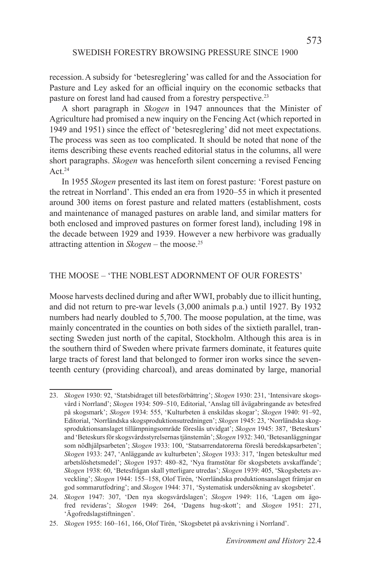recession.A subsidy for 'betesreglering' was called for and the Association for Pasture and Ley asked for an official inquiry on the economic setbacks that pasture on forest land had caused from a forestry perspective.23

A short paragraph in *Skogen* in 1947 announces that the Minister of Agriculture had promised a new inquiry on the Fencing Act (which reported in 1949 and 1951) since the effect of 'betesreglering' did not meet expectations. The process was seen as too complicated. It should be noted that none of the items describing these events reached editorial status in the columns, all were short paragraphs. *Skogen* was henceforth silent concerning a revised Fencing A ct $^{24}$ 

In 1955 *Skogen* presented its last item on forest pasture: 'Forest pasture on the retreat in Norrland'. This ended an era from 1920–55 in which it presented around 300 items on forest pasture and related matters (establishment, costs and maintenance of managed pastures on arable land, and similar matters for both enclosed and improved pastures on former forest land), including 198 in the decade between 1929 and 1939. However a new herbivore was gradually attracting attention in *Skogen* – the moose.25

# THE MOOSE – 'THE NOBLEST ADORNMENT OF OUR FORESTS'

Moose harvests declined during and after WWI, probably due to illicit hunting, and did not return to pre-war levels (3,000 animals p.a.) until 1927. By 1932 numbers had nearly doubled to 5,700. The moose population, at the time, was mainly concentrated in the counties on both sides of the sixtieth parallel, transecting Sweden just north of the capital, Stockholm. Although this area is in the southern third of Sweden where private farmers dominate, it features quite large tracts of forest land that belonged to former iron works since the seventeenth century (providing charcoal), and areas dominated by large, manorial

<sup>23.</sup> *Skogen* 1930: 92, 'Statsbidraget till betesförbättring'; *Skogen* 1930: 231, 'Intensivare skogsvård i Norrland'; *Skogen* 1934: 509–510, Editorial, 'Anslag till åvägabringande av betesfred på skogsmark'; *Skogen* 1934: 555, 'Kulturbeten å enskildas skogar'; *Skogen* 1940: 91–92, Editorial, 'Norrländska skogsproduktionsutredningen'; *Skogen* 1945: 23, 'Norrländska skogsproduktionsanslaget tillämpningsområde föreslås utvidgat'; *Skogen* 1945: 387, 'Beteskurs' and 'Beteskurs för skogsvårdsstyrelsernas tjänstemän'; *Skogen* 1932: 340, 'Betesanläggningar som nödhjälpsarbeten'; *Skogen* 1933: 100, 'Statsarrendatorerna föreslå beredskapsarbeten'; *Skogen* 1933: 247, 'Anläggande av kulturbeten'; *Skogen* 1933: 317, 'Ingen beteskultur med arbetslöshetsmedel'; *Skogen* 1937: 480–82, 'Nya framstötar för skogsbetets avskaffande'; *Skogen* 1938: 60, 'Betesfrågan skall ytterligare utredas'; *Skogen* 1939: 405, 'Skogsbetets avveckling'; *Skogen* 1944: 155–158, Olof Tirén, 'Norrländska produktionsanslaget främjar en god sommarutfodring'; and *Skogen* 1944: 371, 'Systematisk undersökning av skogsbetet'.

<sup>24.</sup> *Skogen* 1947: 307, 'Den nya skogsvårdslagen'; *Skogen* 1949: 116, 'Lagen om ägofred revideras'; *Skogen* 1949: 264, 'Dagens hug-skott'; and *Skogen* 1951: 271, 'Ägofredslagstiftningen'.

<sup>25.</sup> *Skogen* 1955: 160–161, 166, Olof Tirén, 'Skogsbetet på avskrivning i Norrland'.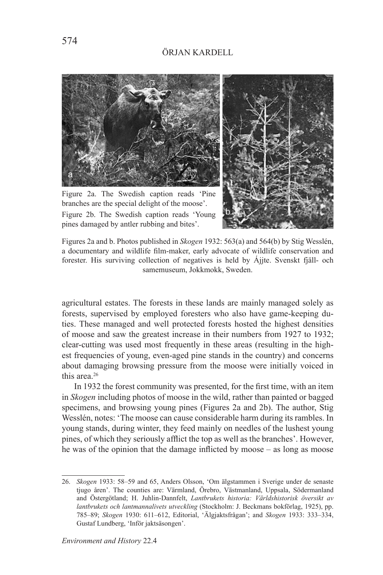

pines damaged by antler rubbing and bites'. Figures 2a and b. Photos published in *Skogen* 1932: 563(a) and 564(b) by Stig Wesslén, a documentary and wildlife film-maker, early advocate of wildlife conservation and forester. His surviving collection of negatives is held by Ájjte. Svenskt fjäll- och

samemuseum, Jokkmokk, Sweden.

agricultural estates. The forests in these lands are mainly managed solely as forests, supervised by employed foresters who also have game-keeping duties. These managed and well protected forests hosted the highest densities of moose and saw the greatest increase in their numbers from 1927 to 1932; clear-cutting was used most frequently in these areas (resulting in the highest frequencies of young, even-aged pine stands in the country) and concerns about damaging browsing pressure from the moose were initially voiced in this area.<sup>26</sup>

In 1932 the forest community was presented, for the first time, with an item in *Skogen* including photos of moose in the wild, rather than painted or bagged specimens, and browsing young pines (Figures 2a and 2b). The author, Stig Wesslén, notes: 'The moose can cause considerable harm during its rambles. In young stands, during winter, they feed mainly on needles of the lushest young pines, of which they seriously afflict the top as well as the branches'. However, he was of the opinion that the damage inflicted by moose – as long as moose

<sup>26.</sup> *Skogen* 1933: 58–59 and 65, Anders Olsson, 'Om älgstammen i Sverige under de senaste tjugo åren'. The counties are: Värmland, Örebro, Västmanland, Uppsala, Södermanland and Östergötland; H. Juhlin-Dannfelt, *Lantbrukets historia: Världshistorisk översikt av lantbrukets och lantmannalivets utveckling* (Stockholm: J. Beckmans bokförlag, 1925), pp. 785–89; *Skogen* 1930: 611–612, Editorial, 'Älgjaktsfrågan'; and *Skogen* 1933: 333–334, Gustaf Lundberg, 'Inför jaktsäsongen'.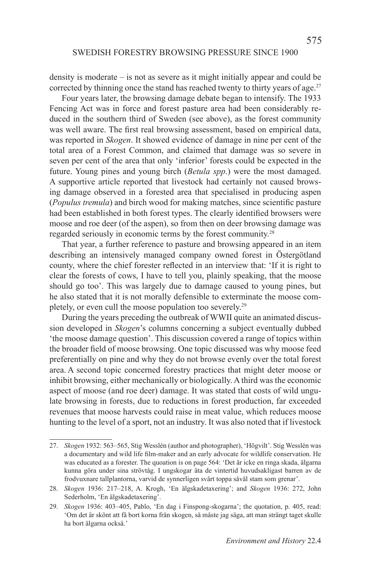density is moderate – is not as severe as it might initially appear and could be corrected by thinning once the stand has reached twenty to thirty years of age.<sup>27</sup>

Four years later, the browsing damage debate began to intensify. The 1933 Fencing Act was in force and forest pasture area had been considerably reduced in the southern third of Sweden (see above), as the forest community was well aware. The first real browsing assessment, based on empirical data, was reported in *Skogen*. It showed evidence of damage in nine per cent of the total area of a Forest Common, and claimed that damage was so severe in seven per cent of the area that only 'inferior' forests could be expected in the future. Young pines and young birch (*Betula spp*.) were the most damaged. A supportive article reported that livestock had certainly not caused browsing damage observed in a forested area that specialised in producing aspen (*Populus tremula*) and birch wood for making matches, since scientific pasture had been established in both forest types. The clearly identified browsers were moose and roe deer (of the aspen), so from then on deer browsing damage was regarded seriously in economic terms by the forest community.28

That year, a further reference to pasture and browsing appeared in an item describing an intensively managed company owned forest in Östergötland county, where the chief forester reflected in an interview that: 'If it is right to clear the forests of cows, I have to tell you, plainly speaking, that the moose should go too'. This was largely due to damage caused to young pines, but he also stated that it is not morally defensible to exterminate the moose completely, or even cull the moose population too severely.29

During the years preceding the outbreak of WWII quite an animated discussion developed in *Skogen*'s columns concerning a subject eventually dubbed 'the moose damage question'. This discussion covered a range of topics within the broader field of moose browsing. One topic discussed was why moose feed preferentially on pine and why they do not browse evenly over the total forest area. A second topic concerned forestry practices that might deter moose or inhibit browsing, either mechanically or biologically. A third was the economic aspect of moose (and roe deer) damage. It was stated that costs of wild ungulate browsing in forests, due to reductions in forest production, far exceeded revenues that moose harvests could raise in meat value, which reduces moose hunting to the level of a sport, not an industry. It was also noted that if livestock

<sup>27.</sup> *Skogen* 1932: 563–565, Stig Wesslén (author and photographer), 'Högvilt'. Stig Wesslén was a documentary and wild life film-maker and an early advocate for wildlife conservation. He was educated as a forester. The quoation is on page 564: 'Det är icke en ringa skada, älgarna kunna göra under sina strövtåg. I ungskogar äta de vintertid huvudsakligast barren av de frodvuxnare tallplantorna, varvid de synnerligen svårt toppa såväl stam som grenar'.

<sup>28.</sup> *Skogen* 1936: 217–218, A. Krogh, 'En älgskadetaxering'; and *Skogen* 1936: 272, John Sederholm, 'En älgskadetaxering'.

<sup>29.</sup> *Skogen* 1936: 403–405, Pablo, 'En dag i Finspong-skogarna'; the quotation, p. 405, read: 'Om det är skönt att få bort korna från skogen, så måste jag säga, att man strängt taget skulle ha bort älgarna också.'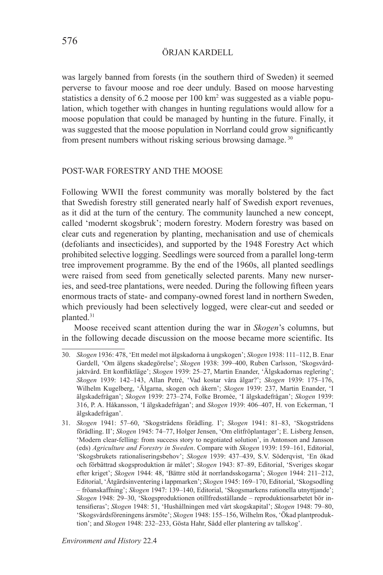was largely banned from forests (in the southern third of Sweden) it seemed perverse to favour moose and roe deer unduly. Based on moose harvesting statistics a density of 6.2 moose per 100 km<sup>2</sup> was suggested as a viable population, which together with changes in hunting regulations would allow for a moose population that could be managed by hunting in the future. Finally, it was suggested that the moose population in Norrland could grow significantly from present numbers without risking serious browsing damage. <sup>30</sup>

# POST-WAR FORESTRY AND THE MOOSE

Following WWII the forest community was morally bolstered by the fact that Swedish forestry still generated nearly half of Swedish export revenues, as it did at the turn of the century. The community launched a new concept, called 'modernt skogsbruk'; modern forestry. Modern forestry was based on clear cuts and regeneration by planting, mechanisation and use of chemicals (defoliants and insecticides), and supported by the 1948 Forestry Act which prohibited selective logging. Seedlings were sourced from a parallel long-term tree improvement programme. By the end of the 1960s, all planted seedlings were raised from seed from genetically selected parents. Many new nurseries, and seed-tree plantations, were needed. During the following fifteen years enormous tracts of state- and company-owned forest land in northern Sweden, which previously had been selectively logged, were clear-cut and seeded or planted.31

Moose received scant attention during the war in *Skogen*'s columns, but in the following decade discussion on the moose became more scientific. Its

<sup>30.</sup> *Skogen* 1936: 478, 'Ett medel mot älgskadorna å ungskogen'; *Skogen* 1938: 111–112, B. Enar Gardell, 'Om älgens skadegörelse'; *Skogen* 1938: 399–400, Ruben Carlsson, 'Skogsvårdjaktvård. Ett konfliktläge'; *Skogen* 1939: 25–27, Martin Enander, 'Älgskadornas reglering'; *Skogen* 1939: 142–143, Allan Petré, 'Vad kostar våra älgar?'; *Skogen* 1939: 175–176, Wilhelm Kugelberg, 'Älgarna, skogen och åkern'; *Skogen* 1939: 237, Martin Enander, 'I älgskadefrågan'; *Skogen* 1939: 273–274, Folke Bromée, 'I älgskadefrågan'; *Skogen* 1939: 316, P. A. Håkansson, 'I älgskadefrågan'; and *Skogen* 1939: 406–407, H. von Eckerman, 'I älgskadefrågan'.

<sup>31.</sup> *Skogen* 1941: 57–60, 'Skogsträdens förädling. I'; *Skogen* 1941: 81–83, 'Skogsträdens förädling. II'; *Skogen* 1945: 74–77, Holger Jensen, 'Om elitfröplantager'; E. Lisberg Jensen, 'Modern clear-felling: from success story to negotiated solution', in Antonson and Jansson (eds) *Agriculture and Forestry in Sweden*. Compare with *Skogen* 1939: 159–161, Editorial, 'Skogsbrukets rationaliseringsbehov'; *Skogen* 1939: 437–439, S.V. Söderqvist, 'En ökad och förbättrad skogsproduktion är målet'; *Skogen* 1943: 87–89, Editorial, 'Sveriges skogar efter kriget'; *Skogen* 1944: 48, 'Bättre stöd åt norrlandsskogarna'; *Skogen* 1944: 211–212, Editorial, 'Åtgärdsinventering i lappmarken'; *Skogen* 1945: 169–170, Editorial, 'Skogsodling – fröanskaffning'; *Skogen* 1947: 139–140, Editorial, 'Skogsmarkens rationella utnyttjande'; *Skogen* 1948: 29–30, 'Skogsproduktionen otillfredsställande – reproduktionsarbetet bör intensifieras'; *Skogen* 1948: 51, 'Hushållningen med vårt skogskapital'; *Skogen* 1948: 79–80, 'Skogsvårdsföreningens årsmöte'; *Skogen* 1948: 155–156, Wilhelm Ros, 'Ökad plantproduktion'; and *Skogen* 1948: 232–233, Gösta Hahr, Sådd eller plantering av tallskog'.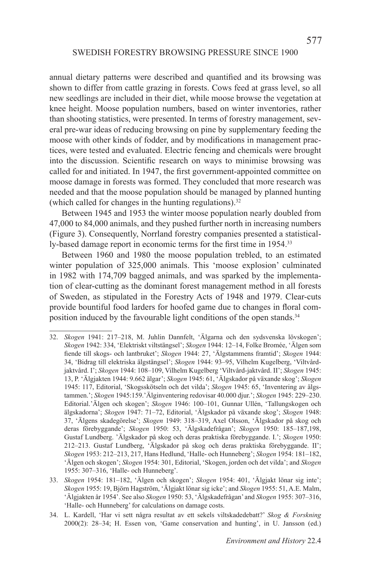annual dietary patterns were described and quantified and its browsing was shown to differ from cattle grazing in forests. Cows feed at grass level, so all new seedlings are included in their diet, while moose browse the vegetation at knee height. Moose population numbers, based on winter inventories, rather than shooting statistics, were presented. In terms of forestry management, several pre-war ideas of reducing browsing on pine by supplementary feeding the moose with other kinds of fodder, and by modifications in management practices, were tested and evaluated. Electric fencing and chemicals were brought into the discussion. Scientific research on ways to minimise browsing was called for and initiated. In 1947, the first government-appointed committee on moose damage in forests was formed. They concluded that more research was needed and that the moose population should be managed by planned hunting (which called for changes in the hunting regulations).<sup>32</sup>

Between 1945 and 1953 the winter moose population nearly doubled from 47,000 to 84,000 animals, and they pushed further north in increasing numbers (Figure 3). Consequently, Norrland forestry companies presented a statistically-based damage report in economic terms for the first time in 1954.<sup>33</sup>

Between 1960 and 1980 the moose population trebled, to an estimated winter population of 325,000 animals. This 'moose explosion' culminated in 1982 with 174,709 bagged animals, and was sparked by the implementation of clear-cutting as the dominant forest management method in all forests of Sweden, as stipulated in the Forestry Acts of 1948 and 1979. Clear-cuts provide bountiful food larders for hoofed game due to changes in floral composition induced by the favourable light conditions of the open stands.<sup>34</sup>

<sup>32.</sup> *Skogen* 1941: 217–218, M. Juhlin Dannfelt, 'Älgarna och den sydsvenska lövskogen'; *Skogen* 1942: 334, 'Elektriskt viltstängsel'; *Skogen* 1944: 12–14, Folke Bromée, 'Älgen som fiende till skogs- och lantbruket'; *Skogen* 1944: 27, 'Älgstammens framtid'; *Skogen* 1944: 34, 'Bidrag till elektriska älgstängsel'; *Skogen* 1944: 93–95, Vilhelm Kugelberg, 'Viltvårdjaktvård. I'; *Skogen* 1944: 108–109, Vilhelm Kugelberg 'Viltvård-jaktvård. II'; *Skogen* 1945: 13, P. 'Älgjakten 1944: 9.662 älgar'; *Skogen* 1945: 61, 'Älgskador på växande skog'; *Skogen* 1945: 117, Editorial, 'Skogsskötseln och det vilda'; *Skogen* 1945: 65, 'Inventering av älgstammen.'; *Skogen* 1945:159.'Älginventering redovisar 40.000 djur.'; *Skogen* 1945: 229–230. Editorial.'Älgen och skogen'; *Skogen* 1946: 100–101, Gunnar Ullén, 'Tallungskogen och älgskadorna'; *Skogen* 1947: 71–72, Editorial, 'Älgskador på växande skog'; *Skogen* 1948: 37, 'Älgens skadegörelse'; *Skogen* 1949: 318–319, Axel Olsson, 'Älgskador på skog och deras förebyggande'; *Skogen* 1950: 53, 'Älgskadefrågan'; *Skogen* 1950: 185–187,198, Gustaf Lundberg. 'Älgskador på skog och deras praktiska förebyggande. I.'; *Skogen* 1950: 212–213. Gustaf Lundberg, 'Älgskador på skog och deras praktiska förebyggande. II'; *Skogen* 1953: 212–213, 217, Hans Hedlund, 'Halle- och Hunneberg'; *Skogen* 1954: 181–182, 'Älgen och skogen'; *Skogen* 1954: 301, Editorial, 'Skogen, jorden och det vilda'; and *Skogen* 1955: 307–316, 'Halle- och Hunneberg'.

<sup>33.</sup> *Skogen* 1954: 181–182, 'Älgen och skogen'; *Skogen* 1954: 401, 'Älgjakt lönar sig inte'; *Skogen* 1955: 19, Björn Hagström, 'Älgjakt lönar sig icke'; and *Skogen* 1955: 51, A.E. Malm, 'Älgjakten år 1954'. See also *Skogen* 1950: 53, 'Älgskadefrågan' and *Skogen* 1955: 307–316, 'Halle- och Hunneberg' for calculations on damage costs.

<sup>34.</sup> L. Kardell, 'Har vi sett några resultat av ett sekels viltskadedebatt?' *Skog & Forskning* 2000(2): 28–34; H. Essen von, 'Game conservation and hunting', in U. Jansson (ed.)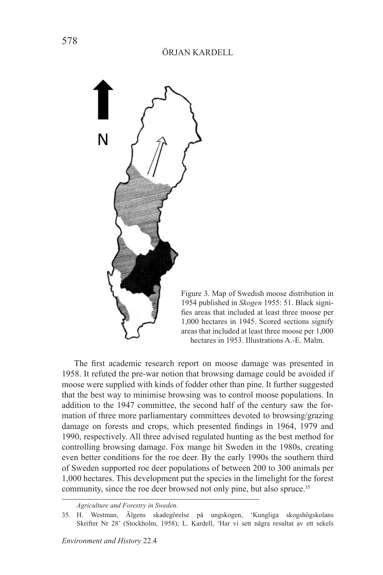

Figure 3. Map of Swedish moose distribution in 1954 published in *Skogen* 1955: 51. Black signifies areas that included at least three moose per 1,000 hectares in 1945. Scored sections signify areas that included at least three moose per 1,000 hectares in 1953. Illustrations A.-E. Malm.

The first academic research report on moose damage was presented in 1958. It refuted the pre-war notion that browsing damage could be avoided if moose were supplied with kinds of fodder other than pine. It further suggested that the best way to minimise browsing was to control moose populations. In addition to the 1947 committee, the second half of the century saw the formation of three more parliamentary committees devoted to browsing/grazing damage on forests and crops, which presented findings in 1964, 1979 and 1990, respectively. All three advised regulated hunting as the best method for controlling browsing damage. Fox mange hit Sweden in the 1980s, creating even better conditions for the roe deer. By the early 1990s the southern third of Sweden supported roe deer populations of between 200 to 300 animals per 1,000 hectares. This development put the species in the limelight for the forest community, since the roe deer browsed not only pine, but also spruce.<sup>35</sup>

*Agriculture and Forestry in Sweden*.

<sup>35.</sup> H. Westman, Älgens skadegörelse på ungskogen, 'Kungliga skogshögskolans Skrifter Nr 28' (Stockholm, 1958); L. Kardell, 'Har vi sett några resultat av ett sekels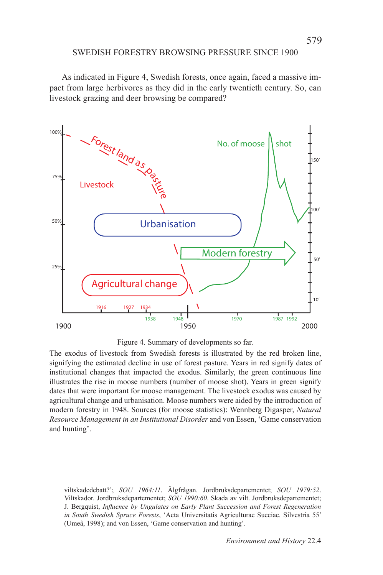As indicated in Figure 4, Swedish forests, once again, faced a massive impact from large herbivores as they did in the early twentieth century. So, can livestock grazing and deer browsing be compared?



Figure 4. Summary of developments so far.

The exodus of livestock from Swedish forests is illustrated by the red broken line, signifying the estimated decline in use of forest pasture. Years in red signify dates of institutional changes that impacted the exodus. Similarly, the green continuous line illustrates the rise in moose numbers (number of moose shot). Years in green signify dates that were important for moose management. The livestock exodus was caused by agricultural change and urbanisation. Moose numbers were aided by the introduction of modern forestry in 1948. Sources (for moose statistics): Wennberg Digasper, *Natural Resource Management in an Institutional Disorder* and von Essen, 'Game conservation and hunting'.

viltskadedebatt?'; *SOU 1964:11*. Älgfrågan. Jordbruksdepartementet; *SOU 1979:52*. Viltskador. Jordbruksdepartementet; *SOU 1990:60*. Skada av vilt. Jordbruksdepartementet; J. Bergquist, *Influence by Ungulates on Early Plant Succession and Forest Regeneration in South Swedish Spruce Forests*, 'Acta Universitatis Agriculturae Sueciae. Silvestria 55' (Umeå, 1998); and von Essen, 'Game conservation and hunting'.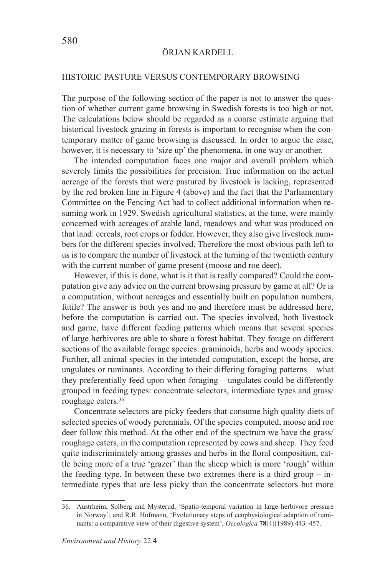#### HISTORIC PASTURE VERSUS CONTEMPORARY BROWSING

The purpose of the following section of the paper is not to answer the question of whether current game browsing in Swedish forests is too high or not. The calculations below should be regarded as a coarse estimate arguing that historical livestock grazing in forests is important to recognise when the contemporary matter of game browsing is discussed. In order to argue the case, however, it is necessary to 'size up' the phenomena, in one way or another.

The intended computation faces one major and overall problem which severely limits the possibilities for precision. True information on the actual acreage of the forests that were pastured by livestock is lacking, represented by the red broken line in Figure 4 (above) and the fact that the Parliamentary Committee on the Fencing Act had to collect additional information when resuming work in 1929. Swedish agricultural statistics, at the time, were mainly concerned with acreages of arable land, meadows and what was produced on that land: cereals, root crops or fodder. However, they also give livestock numbers for the different species involved. Therefore the most obvious path left to us is to compare the number of livestock at the turning of the twentieth century with the current number of game present (moose and roe deer).

However, if this is done, what is it that is really compared? Could the computation give any advice on the current browsing pressure by game at all? Or is a computation, without acreages and essentially built on population numbers, futile? The answer is both yes and no and therefore must be addressed here, before the computation is carried out. The species involved, both livestock and game, have different feeding patterns which means that several species of large herbivores are able to share a forest habitat. They forage on different sections of the available forage species: graminoids, herbs and woody species. Further, all animal species in the intended computation, except the horse, are ungulates or ruminants. According to their differing foraging patterns – what they preferentially feed upon when foraging – ungulates could be differently grouped in feeding types: concentrate selectors, intermediate types and grass/ roughage eaters.<sup>36</sup>

Concentrate selectors are picky feeders that consume high quality diets of selected species of woody perennials. Of the species computed, moose and roe deer follow this method. At the other end of the spectrum we have the grass/ roughage eaters, in the computation represented by cows and sheep. They feed quite indiscriminately among grasses and herbs in the floral composition, cattle being more of a true 'grazer' than the sheep which is more 'rough' within the feeding type. In between these two extremes there is a third group  $-$  intermediate types that are less picky than the concentrate selectors but more

<sup>36.</sup> Austrheim, Solberg and Mysterud, 'Spatio-temporal variation in large herbivore pressure in Norway'; and R.R. Hofmann, 'Evolutionary steps of ecophysiological adaption of ruminants: a comparative view of their digestive system', *Oecologica* **78**(4)(1989):443–457.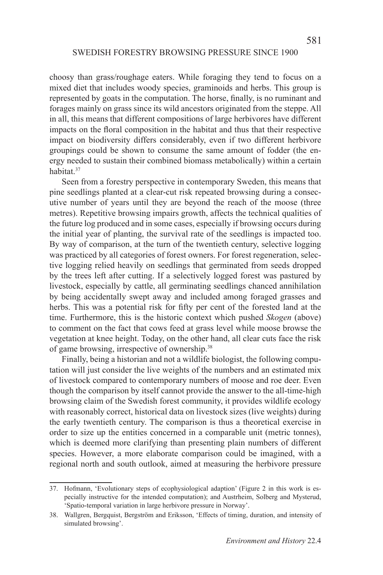choosy than grass/roughage eaters. While foraging they tend to focus on a mixed diet that includes woody species, graminoids and herbs. This group is represented by goats in the computation. The horse, finally, is no ruminant and forages mainly on grass since its wild ancestors originated from the steppe. All in all, this means that different compositions of large herbivores have different impacts on the floral composition in the habitat and thus that their respective impact on biodiversity differs considerably, even if two different herbivore groupings could be shown to consume the same amount of fodder (the energy needed to sustain their combined biomass metabolically) within a certain habitat<sup>37</sup>

Seen from a forestry perspective in contemporary Sweden, this means that pine seedlings planted at a clear-cut risk repeated browsing during a consecutive number of years until they are beyond the reach of the moose (three metres). Repetitive browsing impairs growth, affects the technical qualities of the future log produced and in some cases, especially if browsing occurs during the initial year of planting, the survival rate of the seedlings is impacted too. By way of comparison, at the turn of the twentieth century, selective logging was practiced by all categories of forest owners. For forest regeneration, selective logging relied heavily on seedlings that germinated from seeds dropped by the trees left after cutting. If a selectively logged forest was pastured by livestock, especially by cattle, all germinating seedlings chanced annihilation by being accidentally swept away and included among foraged grasses and herbs. This was a potential risk for fifty per cent of the forested land at the time. Furthermore, this is the historic context which pushed *Skogen* (above) to comment on the fact that cows feed at grass level while moose browse the vegetation at knee height. Today, on the other hand, all clear cuts face the risk of game browsing, irrespective of ownership.38

Finally, being a historian and not a wildlife biologist, the following computation will just consider the live weights of the numbers and an estimated mix of livestock compared to contemporary numbers of moose and roe deer. Even though the comparison by itself cannot provide the answer to the all-time-high browsing claim of the Swedish forest community, it provides wildlife ecology with reasonably correct, historical data on livestock sizes (live weights) during the early twentieth century. The comparison is thus a theoretical exercise in order to size up the entities concerned in a comparable unit (metric tonnes), which is deemed more clarifying than presenting plain numbers of different species. However, a more elaborate comparison could be imagined, with a regional north and south outlook, aimed at measuring the herbivore pressure

<sup>37.</sup> Hofmann, 'Evolutionary steps of ecophysiological adaption' (Figure 2 in this work is especially instructive for the intended computation); and Austrheim, Solberg and Mysterud, 'Spatio-temporal variation in large herbivore pressure in Norway'.

<sup>38.</sup> Wallgren, Bergquist, Bergström and Eriksson, 'Effects of timing, duration, and intensity of simulated browsing'.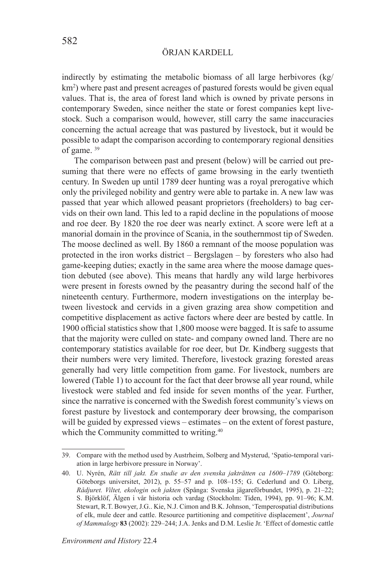indirectly by estimating the metabolic biomass of all large herbivores (kg/ km2 ) where past and present acreages of pastured forests would be given equal values. That is, the area of forest land which is owned by private persons in contemporary Sweden, since neither the state or forest companies kept livestock. Such a comparison would, however, still carry the same inaccuracies concerning the actual acreage that was pastured by livestock, but it would be possible to adapt the comparison according to contemporary regional densities of game. 39

The comparison between past and present (below) will be carried out presuming that there were no effects of game browsing in the early twentieth century. In Sweden up until 1789 deer hunting was a royal prerogative which only the privileged nobility and gentry were able to partake in. A new law was passed that year which allowed peasant proprietors (freeholders) to bag cervids on their own land. This led to a rapid decline in the populations of moose and roe deer. By 1820 the roe deer was nearly extinct. A score were left at a manorial domain in the province of Scania, in the southernmost tip of Sweden. The moose declined as well. By 1860 a remnant of the moose population was protected in the iron works district – Bergslagen – by foresters who also had game-keeping duties; exactly in the same area where the moose damage question debuted (see above). This means that hardly any wild large herbivores were present in forests owned by the peasantry during the second half of the nineteenth century. Furthermore, modern investigations on the interplay between livestock and cervids in a given grazing area show competition and competitive displacement as active factors where deer are bested by cattle. In 1900 official statistics show that 1,800 moose were bagged. It is safe to assume that the majority were culled on state- and company owned land. There are no contemporary statistics available for roe deer, but Dr. Kindberg suggests that their numbers were very limited. Therefore, livestock grazing forested areas generally had very little competition from game. For livestock, numbers are lowered (Table 1) to account for the fact that deer browse all year round, while livestock were stabled and fed inside for seven months of the year. Further, since the narrative is concerned with the Swedish forest community's views on forest pasture by livestock and contemporary deer browsing, the comparison will be guided by expressed views – estimates – on the extent of forest pasture, which the Community committed to writing.<sup>40</sup>

<sup>39.</sup> Compare with the method used by Austrheim, Solberg and Mysterud, 'Spatio-temporal variation in large herbivore pressure in Norway'.

<sup>40.</sup> U. Nyrén, *Rätt till jakt. En studie av den svenska jakträtten ca 1600–1789* (Göteborg: Göteborgs universitet, 2012), p. 55–57 and p. 108–155; G. Cederlund and O. Liberg, *Rådjuret. Viltet, ekologin och jakten* (Spånga: Svenska jägareförbundet, 1995), p. 21–22; S. Björklöf, Älgen i vår historia och vardag (Stockholm: Tiden, 1994), pp. 91–96; K.M. Stewart, R.T. Bowyer, J.G.. Kie, N.J. Cimon and B.K. Johnson, 'Temperospatial distributions of elk, mule deer and cattle. Resource partitioning and competitive displacement', *Journal of Mammalogy* **83** (2002): 229–244; J.A. Jenks and D.M. Leslie Jr. 'Effect of domestic cattle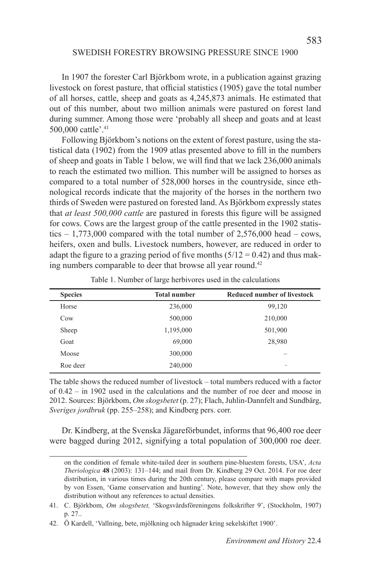In 1907 the forester Carl Björkbom wrote, in a publication against grazing livestock on forest pasture, that official statistics (1905) gave the total number of all horses, cattle, sheep and goats as 4,245,873 animals. He estimated that out of this number, about two million animals were pastured on forest land during summer. Among those were 'probably all sheep and goats and at least 500,000 cattle'.41

Following Björkbom's notions on the extent of forest pasture, using the statistical data (1902) from the 1909 atlas presented above to fill in the numbers of sheep and goats in Table 1 below, we will find that we lack 236,000 animals to reach the estimated two million. This number will be assigned to horses as compared to a total number of 528,000 horses in the countryside, since ethnological records indicate that the majority of the horses in the northern two thirds of Sweden were pastured on forested land. As Björkbom expressly states that *at least 500,000 cattle* are pastured in forests this figure will be assigned for cows. Cows are the largest group of the cattle presented in the 1902 statistics  $-1,773,000$  compared with the total number of 2,576,000 head – cows, heifers, oxen and bulls. Livestock numbers, however, are reduced in order to adapt the figure to a grazing period of five months  $(5/12 = 0.42)$  and thus making numbers comparable to deer that browse all year round.<sup>42</sup>

| <b>Species</b> | <b>Total number</b> | <b>Reduced number of livestock</b> |
|----------------|---------------------|------------------------------------|
| Horse          | 236,000             | 99,120                             |
| Cow            | 500,000             | 210,000                            |
| Sheep          | 1,195,000           | 501,900                            |
| Goat           | 69,000              | 28,980                             |
| Moose          | 300,000             | -                                  |
| Roe deer       | 240,000             | -                                  |

Table 1. Number of large herbivores used in the calculations

The table shows the reduced number of livestock – total numbers reduced with a factor of 0.42 – in 1902 used in the calculations and the number of roe deer and moose in 2012. Sources: Björkbom, *Om skogsbetet* (p. 27); Flach, Juhlin-Dannfelt and Sundbärg, *Sveriges jordbruk* (pp. 255–258); and Kindberg pers. corr.

Dr. Kindberg, at the Svenska Jägareförbundet, informs that 96,400 roe deer were bagged during 2012, signifying a total population of 300,000 roe deer.

on the condition of female white-tailed deer in southern pine-bluestem forests, USA', *Acta Theriologica* **48** (2003): 131–144; and mail from Dr. Kindberg 29 Oct. 2014. For roe deer distribution, in various times during the 20th century, please compare with maps provided by von Essen, 'Game conservation and hunting'. Note, however, that they show only the distribution without any references to actual densities.

<sup>41.</sup> C. Björkbom, *Om skogsbetet,* 'Skogsvårdsföreningens folkskrifter 9', (Stockholm, 1907) p. 27..

<sup>42.</sup> Ö Kardell, 'Vallning, bete, mjölkning och hägnader kring sekelskiftet 1900'.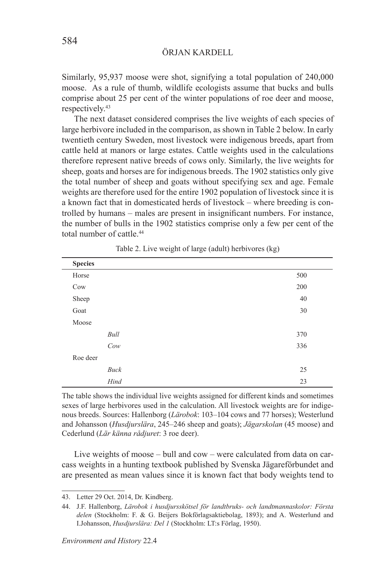Similarly, 95,937 moose were shot, signifying a total population of 240,000 moose. As a rule of thumb, wildlife ecologists assume that bucks and bulls comprise about 25 per cent of the winter populations of roe deer and moose, respectively.43

The next dataset considered comprises the live weights of each species of large herbivore included in the comparison, as shown in Table 2 below. In early twentieth century Sweden, most livestock were indigenous breeds, apart from cattle held at manors or large estates. Cattle weights used in the calculations therefore represent native breeds of cows only. Similarly, the live weights for sheep, goats and horses are for indigenous breeds. The 1902 statistics only give the total number of sheep and goats without specifying sex and age. Female weights are therefore used for the entire 1902 population of livestock since it is a known fact that in domesticated herds of livestock – where breeding is controlled by humans – males are present in insignificant numbers. For instance, the number of bulls in the 1902 statistics comprise only a few per cent of the total number of cattle.<sup>44</sup>

| <b>Species</b> |                |     |  |
|----------------|----------------|-----|--|
| Horse          |                | 500 |  |
| Cow            |                | 200 |  |
| Sheep          |                | 40  |  |
| Goat           |                | 30  |  |
| Moose          |                |     |  |
|                | Bull           | 370 |  |
|                | $\mathit{Cow}$ | 336 |  |
| Roe deer       |                |     |  |
|                | Buck           | 25  |  |
|                | Hind           | 23  |  |

Table 2. Live weight of large (adult) herbivores (kg)

The table shows the individual live weights assigned for different kinds and sometimes sexes of large herbivores used in the calculation. All livestock weights are for indigenous breeds. Sources: Hallenborg (*Lärobok*: 103–104 cows and 77 horses); Westerlund and Johansson (*Husdjurslära*, 245–246 sheep and goats); *Jägarskolan* (45 moose) and Cederlund (*Lär känna rådjuret*: 3 roe deer).

Live weights of moose – bull and cow – were calculated from data on carcass weights in a hunting textbook published by Svenska Jägareförbundet and are presented as mean values since it is known fact that body weights tend to

<sup>43.</sup> Letter 29 Oct. 2014, Dr. Kindberg.

<sup>44.</sup> J.F. Hallenborg, *Lärobok i husdjursskötsel för landtbruks- och landtmannaskolor: Första delen* (Stockholm: F. & G. Beijers Bokförlagsaktiebolag, 1893); and A. Westerlund and I.Johansson, *Husdjurslära: Del 1* (Stockholm: LT:s Förlag, 1950).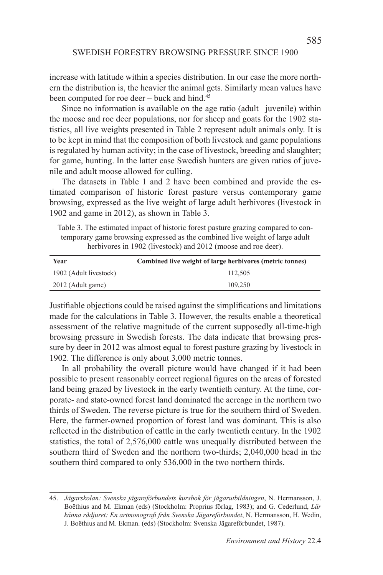increase with latitude within a species distribution. In our case the more northern the distribution is, the heavier the animal gets. Similarly mean values have been computed for roe deer – buck and hind.<sup>45</sup>

Since no information is available on the age ratio (adult –juvenile) within the moose and roe deer populations, nor for sheep and goats for the 1902 statistics, all live weights presented in Table 2 represent adult animals only. It is to be kept in mind that the composition of both livestock and game populations is regulated by human activity; in the case of livestock, breeding and slaughter; for game, hunting. In the latter case Swedish hunters are given ratios of juvenile and adult moose allowed for culling.

The datasets in Table 1 and 2 have been combined and provide the estimated comparison of historic forest pasture versus contemporary game browsing, expressed as the live weight of large adult herbivores (livestock in 1902 and game in 2012), as shown in Table 3.

Table 3. The estimated impact of historic forest pasture grazing compared to contemporary game browsing expressed as the combined live weight of large adult herbivores in 1902 (livestock) and 2012 (moose and roe deer).

| Year                   | Combined live weight of large herbivores (metric tonnes) |  |
|------------------------|----------------------------------------------------------|--|
| 1902 (Adult livestock) | 112.505                                                  |  |
| 2012 (Adult game)      | 109.250                                                  |  |

Justifiable objections could be raised against the simplifications and limitations made for the calculations in Table 3. However, the results enable a theoretical assessment of the relative magnitude of the current supposedly all-time-high browsing pressure in Swedish forests. The data indicate that browsing pressure by deer in 2012 was almost equal to forest pasture grazing by livestock in 1902. The difference is only about 3,000 metric tonnes.

In all probability the overall picture would have changed if it had been possible to present reasonably correct regional figures on the areas of forested land being grazed by livestock in the early twentieth century. At the time, corporate- and state-owned forest land dominated the acreage in the northern two thirds of Sweden. The reverse picture is true for the southern third of Sweden. Here, the farmer-owned proportion of forest land was dominant. This is also reflected in the distribution of cattle in the early twentieth century. In the 1902 statistics, the total of 2,576,000 cattle was unequally distributed between the southern third of Sweden and the northern two-thirds; 2,040,000 head in the southern third compared to only 536,000 in the two northern thirds.

<sup>45.</sup> *Jägarskolan: Svenska jägareförbundets kursbok för jägarutbildningen*, N. Hermansson, J. Boëthius and M. Ekman (eds) (Stockholm: Proprius förlag, 1983); and G. Cederlund, *Lär känna rådjuret: En artmonografi från Svenska Jägareförbundet*, N. Hermansson, H. Wedin, J. Boëthius and M. Ekman. (eds) (Stockholm: Svenska Jägareförbundet, 1987).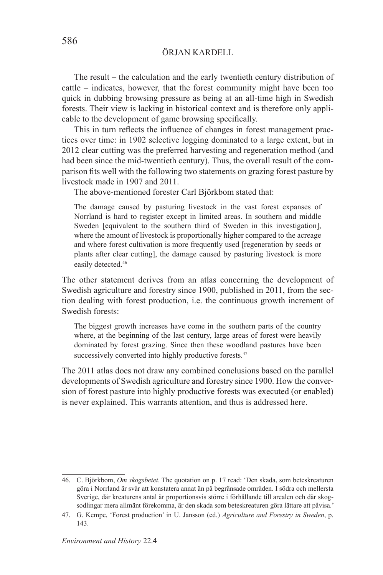The result – the calculation and the early twentieth century distribution of cattle – indicates, however, that the forest community might have been too quick in dubbing browsing pressure as being at an all-time high in Swedish forests. Their view is lacking in historical context and is therefore only applicable to the development of game browsing specifically.

This in turn reflects the influence of changes in forest management practices over time: in 1902 selective logging dominated to a large extent, but in 2012 clear cutting was the preferred harvesting and regeneration method (and had been since the mid-twentieth century). Thus, the overall result of the comparison fits well with the following two statements on grazing forest pasture by livestock made in 1907 and 2011.

The above-mentioned forester Carl Björkbom stated that:

The damage caused by pasturing livestock in the vast forest expanses of Norrland is hard to register except in limited areas. In southern and middle Sweden [equivalent to the southern third of Sweden in this investigation], where the amount of livestock is proportionally higher compared to the acreage and where forest cultivation is more frequently used [regeneration by seeds or plants after clear cutting], the damage caused by pasturing livestock is more easily detected.46

The other statement derives from an atlas concerning the development of Swedish agriculture and forestry since 1900, published in 2011, from the section dealing with forest production, i.e. the continuous growth increment of Swedish forests:

The biggest growth increases have come in the southern parts of the country where, at the beginning of the last century, large areas of forest were heavily dominated by forest grazing. Since then these woodland pastures have been successively converted into highly productive forests.<sup>47</sup>

The 2011 atlas does not draw any combined conclusions based on the parallel developments of Swedish agriculture and forestry since 1900. How the conversion of forest pasture into highly productive forests was executed (or enabled) is never explained. This warrants attention, and thus is addressed here.

<sup>46.</sup> C. Björkbom, *Om skogsbetet*. The quotation on p. 17 read: 'Den skada, som beteskreaturen göra i Norrland är svår att konstatera annat än på begränsade områden. I södra och mellersta Sverige, där kreaturens antal är proportionsvis större i förhållande till arealen och där skogsodlingar mera allmänt förekomma, är den skada som beteskreaturen göra lättare att påvisa.'

<sup>47.</sup> G. Kempe, 'Forest production' in U. Jansson (ed.) *Agriculture and Forestry in Sweden*, p. 143.